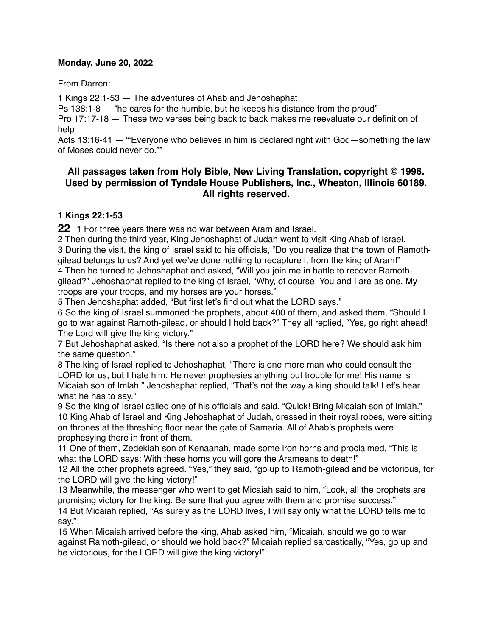#### **Monday, June 20, 2022**

From Darren:

1 Kings 22:1-53 — The adventures of Ahab and Jehoshaphat

Ps 138:1-8 — "he cares for the humble, but he keeps his distance from the proud"

Pro 17:17-18 — These two verses being back to back makes me reevaluate our definition of help

Acts 13:16-41 — "'Everyone who believes in him is declared right with God—something the law of Moses could never do.""

# **All passages taken from Holy Bible, [New Living Translation](http://www.newlivingtranslation.com/), copyright © 1996. Used by permission of [Tyndale House Publishers](http://tyndale.com/), Inc., Wheaton, Illinois 60189. All rights reserved.**

# **1 Kings 22:1-53**

**22** 1 For three years there was no war between Aram and Israel.

 Then during the third year, King Jehoshaphat of Judah went to visit King Ahab of Israel. During the visit, the king of Israel said to his officials, "Do you realize that the town of Ramothgilead belongs to us? And yet we've done nothing to recapture it from the king of Aram!" Then he turned to Jehoshaphat and asked, "Will you join me in battle to recover Ramoth-

gilead?" Jehoshaphat replied to the king of Israel, "Why, of course! You and I are as one. My troops are your troops, and my horses are your horses."

5 Then Jehoshaphat added, "But first let's find out what the LORD says."

6 So the king of Israel summoned the prophets, about 400 of them, and asked them, "Should I go to war against Ramoth-gilead, or should I hold back?" They all replied, "Yes, go right ahead! The Lord will give the king victory."

7 But Jehoshaphat asked, "Is there not also a prophet of the LORD here? We should ask him the same question."

8 The king of Israel replied to Jehoshaphat, "There is one more man who could consult the LORD for us, but I hate him. He never prophesies anything but trouble for me! His name is Micaiah son of Imlah." Jehoshaphat replied, "That's not the way a king should talk! Let's hear what he has to say."

9 So the king of Israel called one of his officials and said, "Quick! Bring Micaiah son of Imlah." 10 King Ahab of Israel and King Jehoshaphat of Judah, dressed in their royal robes, were sitting on thrones at the threshing floor near the gate of Samaria. All of Ahab's prophets were prophesying there in front of them.

11 One of them, Zedekiah son of Kenaanah, made some iron horns and proclaimed, "This is what the LORD says: With these horns you will gore the Arameans to death!"

12 All the other prophets agreed. "Yes," they said, "go up to Ramoth-gilead and be victorious, for the LORD will give the king victory!"

13 Meanwhile, the messenger who went to get Micaiah said to him, "Look, all the prophets are promising victory for the king. Be sure that you agree with them and promise success." 14 But Micaiah replied, "As surely as the LORD lives, I will say only what the LORD tells me to say."

15 When Micaiah arrived before the king, Ahab asked him, "Micaiah, should we go to war against Ramoth-gilead, or should we hold back?" Micaiah replied sarcastically, "Yes, go up and be victorious, for the LORD will give the king victory!"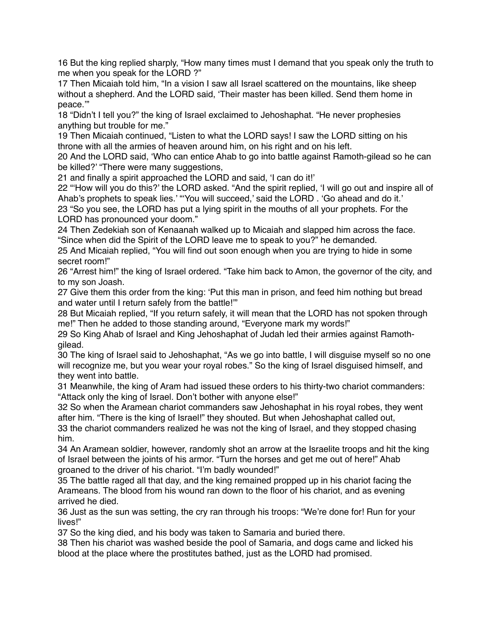16 But the king replied sharply, "How many times must I demand that you speak only the truth to me when you speak for the LORD ?"

17 Then Micaiah told him, "In a vision I saw all Israel scattered on the mountains, like sheep without a shepherd. And the LORD said, 'Their master has been killed. Send them home in peace.'"

18 "Didn't I tell you?" the king of Israel exclaimed to Jehoshaphat. "He never prophesies anything but trouble for me."

19 Then Micaiah continued, "Listen to what the LORD says! I saw the LORD sitting on his throne with all the armies of heaven around him, on his right and on his left.

20 And the LORD said, 'Who can entice Ahab to go into battle against Ramoth-gilead so he can be killed?' "There were many suggestions,

21 and finally a spirit approached the LORD and said, 'I can do it!'

22 "'How will you do this?' the LORD asked. "And the spirit replied, 'I will go out and inspire all of Ahab's prophets to speak lies.' "'You will succeed,' said the LORD . 'Go ahead and do it.' 23 "So you see, the LORD has put a lying spirit in the mouths of all your prophets. For the LORD has pronounced your doom."

24 Then Zedekiah son of Kenaanah walked up to Micaiah and slapped him across the face. "Since when did the Spirit of the LORD leave me to speak to you?" he demanded.

25 And Micaiah replied, "You will find out soon enough when you are trying to hide in some secret room!"

26 "Arrest him!" the king of Israel ordered. "Take him back to Amon, the governor of the city, and to my son Joash.

27 Give them this order from the king: 'Put this man in prison, and feed him nothing but bread and water until I return safely from the battle!'"

28 But Micaiah replied, "If you return safely, it will mean that the LORD has not spoken through me!" Then he added to those standing around, "Everyone mark my words!"

29 So King Ahab of Israel and King Jehoshaphat of Judah led their armies against Ramothgilead.

30 The king of Israel said to Jehoshaphat, "As we go into battle, I will disguise myself so no one will recognize me, but you wear your royal robes." So the king of Israel disguised himself, and they went into battle.

31 Meanwhile, the king of Aram had issued these orders to his thirty-two chariot commanders: "Attack only the king of Israel. Don't bother with anyone else!"

32 So when the Aramean chariot commanders saw Jehoshaphat in his royal robes, they went after him. "There is the king of Israel!" they shouted. But when Jehoshaphat called out,

33 the chariot commanders realized he was not the king of Israel, and they stopped chasing him.

34 An Aramean soldier, however, randomly shot an arrow at the Israelite troops and hit the king of Israel between the joints of his armor. "Turn the horses and get me out of here!" Ahab groaned to the driver of his chariot. "I'm badly wounded!"

35 The battle raged all that day, and the king remained propped up in his chariot facing the Arameans. The blood from his wound ran down to the floor of his chariot, and as evening arrived he died.

36 Just as the sun was setting, the cry ran through his troops: "We're done for! Run for your lives!"

37 So the king died, and his body was taken to Samaria and buried there.

38 Then his chariot was washed beside the pool of Samaria, and dogs came and licked his blood at the place where the prostitutes bathed, just as the LORD had promised.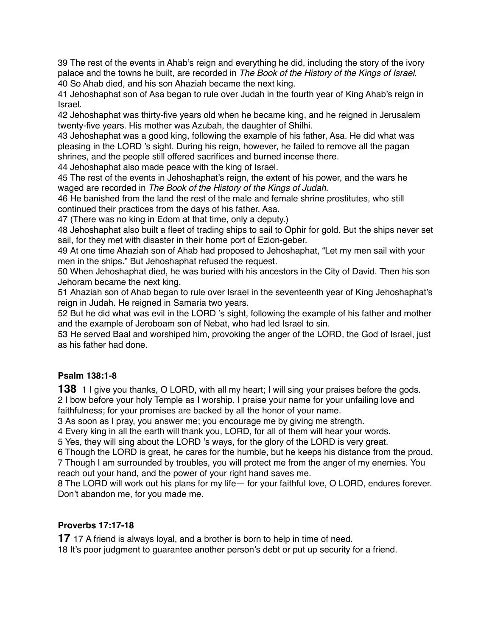39 The rest of the events in Ahab's reign and everything he did, including the story of the ivory palace and the towns he built, are recorded in *The Book of the History of the Kings of Israel.* 40 So Ahab died, and his son Ahaziah became the next king.

41 Jehoshaphat son of Asa began to rule over Judah in the fourth year of King Ahab's reign in Israel.

42 Jehoshaphat was thirty-five years old when he became king, and he reigned in Jerusalem twenty-five years. His mother was Azubah, the daughter of Shilhi.

43 Jehoshaphat was a good king, following the example of his father, Asa. He did what was pleasing in the LORD 's sight. During his reign, however, he failed to remove all the pagan shrines, and the people still offered sacrifices and burned incense there.

44 Jehoshaphat also made peace with the king of Israel.

45 The rest of the events in Jehoshaphat's reign, the extent of his power, and the wars he waged are recorded in *The Book of the History of the Kings of Judah.*

46 He banished from the land the rest of the male and female shrine prostitutes, who still continued their practices from the days of his father, Asa.

47 (There was no king in Edom at that time, only a deputy.)

48 Jehoshaphat also built a fleet of trading ships to sail to Ophir for gold. But the ships never set sail, for they met with disaster in their home port of Ezion-geber.

49 At one time Ahaziah son of Ahab had proposed to Jehoshaphat, "Let my men sail with your men in the ships." But Jehoshaphat refused the request.

50 When Jehoshaphat died, he was buried with his ancestors in the City of David. Then his son Jehoram became the next king.

51 Ahaziah son of Ahab began to rule over Israel in the seventeenth year of King Jehoshaphat's reign in Judah. He reigned in Samaria two years.

52 But he did what was evil in the LORD 's sight, following the example of his father and mother and the example of Jeroboam son of Nebat, who had led Israel to sin.

53 He served Baal and worshiped him, provoking the anger of the LORD, the God of Israel, just as his father had done.

# **Psalm 138:1-8**

**138** 1 I give you thanks, O LORD, with all my heart; I will sing your praises before the gods. 2 I bow before your holy Temple as I worship. I praise your name for your unfailing love and faithfulness; for your promises are backed by all the honor of your name.

3 As soon as I pray, you answer me; you encourage me by giving me strength.

4 Every king in all the earth will thank you, LORD, for all of them will hear your words.

5 Yes, they will sing about the LORD 's ways, for the glory of the LORD is very great.

6 Though the LORD is great, he cares for the humble, but he keeps his distance from the proud.

7 Though I am surrounded by troubles, you will protect me from the anger of my enemies. You reach out your hand, and the power of your right hand saves me.

8 The LORD will work out his plans for my life— for your faithful love, O LORD, endures forever. Don't abandon me, for you made me.

# **Proverbs 17:17-18**

**17** 17 A friend is always loyal, and a brother is born to help in time of need.

18 It's poor judgment to guarantee another person's debt or put up security for a friend.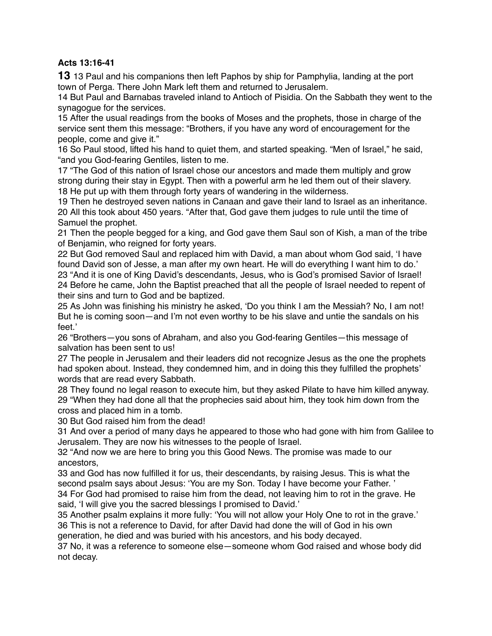## **Acts 13:16-41**

**13** 13 Paul and his companions then left Paphos by ship for Pamphylia, landing at the port town of Perga. There John Mark left them and returned to Jerusalem.

14 But Paul and Barnabas traveled inland to Antioch of Pisidia. On the Sabbath they went to the synagogue for the services.

15 After the usual readings from the books of Moses and the prophets, those in charge of the service sent them this message: "Brothers, if you have any word of encouragement for the people, come and give it."

16 So Paul stood, lifted his hand to quiet them, and started speaking. "Men of Israel," he said, "and you God-fearing Gentiles, listen to me.

17 "The God of this nation of Israel chose our ancestors and made them multiply and grow strong during their stay in Egypt. Then with a powerful arm he led them out of their slavery. 18 He put up with them through forty years of wandering in the wilderness.

19 Then he destroyed seven nations in Canaan and gave their land to Israel as an inheritance. 20 All this took about 450 years. "After that, God gave them judges to rule until the time of Samuel the prophet.

21 Then the people begged for a king, and God gave them Saul son of Kish, a man of the tribe of Benjamin, who reigned for forty years.

22 But God removed Saul and replaced him with David, a man about whom God said, 'I have found David son of Jesse, a man after my own heart. He will do everything I want him to do.' 23 "And it is one of King David's descendants, Jesus, who is God's promised Savior of Israel! 24 Before he came, John the Baptist preached that all the people of Israel needed to repent of their sins and turn to God and be baptized.

25 As John was finishing his ministry he asked, 'Do you think I am the Messiah? No, I am not! But he is coming soon—and I'm not even worthy to be his slave and untie the sandals on his feet.'

26 "Brothers—you sons of Abraham, and also you God-fearing Gentiles—this message of salvation has been sent to us!

27 The people in Jerusalem and their leaders did not recognize Jesus as the one the prophets had spoken about. Instead, they condemned him, and in doing this they fulfilled the prophets' words that are read every Sabbath.

28 They found no legal reason to execute him, but they asked Pilate to have him killed anyway. 29 "When they had done all that the prophecies said about him, they took him down from the cross and placed him in a tomb.

30 But God raised him from the dead!

31 And over a period of many days he appeared to those who had gone with him from Galilee to Jerusalem. They are now his witnesses to the people of Israel.

32 "And now we are here to bring you this Good News. The promise was made to our ancestors,

33 and God has now fulfilled it for us, their descendants, by raising Jesus. This is what the second psalm says about Jesus: 'You are my Son. Today I have become your Father. ' 34 For God had promised to raise him from the dead, not leaving him to rot in the grave. He said, 'I will give you the sacred blessings I promised to David.'

35 Another psalm explains it more fully: 'You will not allow your Holy One to rot in the grave.' 36 This is not a reference to David, for after David had done the will of God in his own generation, he died and was buried with his ancestors, and his body decayed.

37 No, it was a reference to someone else—someone whom God raised and whose body did not decay.